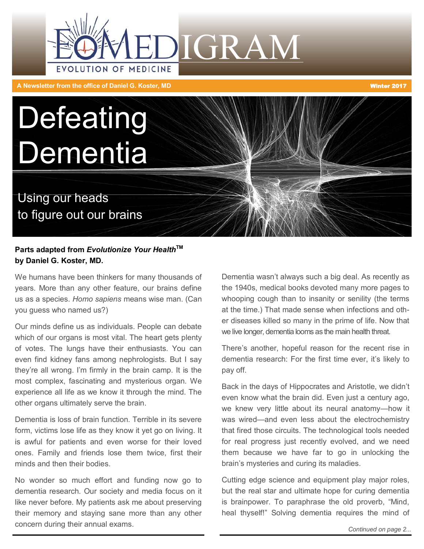

**A Newsletter from the office of Daniel G. Koster, MD** Winter 2017

# **Defeating Dementia**

Using our heads to figure out our brains

### **Parts adapted from Evolutionize Your Health™ by Daniel G. Koster, MD.**

We humans have been thinkers for many thousands of years. More than any other feature, our brains define us as a species. *Homo sapiens* means wise man. (Can you guess who named us?)

Our minds define us as individuals. People can debate which of our organs is most vital. The heart gets plenty of votes. The lungs have their enthusiasts. You can even find kidney fans among nephrologists. But I say they're all wrong. I'm firmly in the brain camp. It is the most complex, fascinating and mysterious organ. We experience all life as we know it through the mind. The other organs ultimately serve the brain.

Dementia is loss of brain function. Terrible in its severe form, victims lose life as they know it yet go on living. It is awful for patients and even worse for their loved ones. Family and friends lose them twice, first their minds and then their bodies.

No wonder so much effort and funding now go to dementia research. Our society and media focus on it like never before. My patients ask me about preserving their memory and staying sane more than any other concern during their annual exams.



There's another, hopeful reason for the recent rise in dementia research: For the first time ever, it's likely to pay off.

Back in the days of Hippocrates and Aristotle, we didn't even know what the brain did. Even just a century ago, we knew very little about its neural anatomy—how it was wired—and even less about the electrochemistry that fired those circuits. The technological tools needed for real progress just recently evolved, and we need them because we have far to go in unlocking the brain's mysteries and curing its maladies.

Cutting edge science and equipment play major roles, but the real star and ultimate hope for curing dementia is brainpower. To paraphrase the old proverb, "Mind, heal thyself!" Solving dementia requires the mind of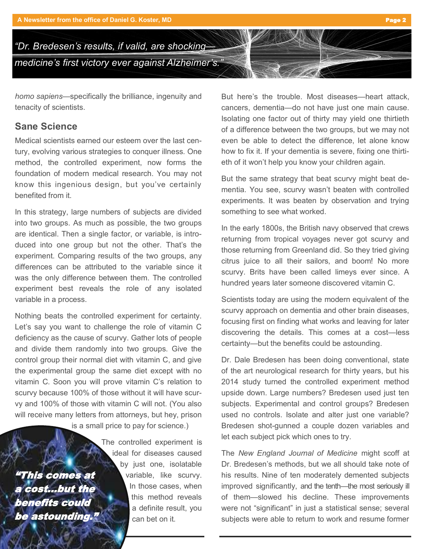

*homo sapiens*—specifically the brilliance, ingenuity and tenacity of scientists.

## **Sane Science**

Medical scientists earned our esteem over the last century, evolving various strategies to conquer illness. One method, the controlled experiment, now forms the foundation of modern medical research. You may not know this ingenious design, but you've certainly benefited from it.

In this strategy, large numbers of subjects are divided into two groups. As much as possible, the two groups are identical. Then a single factor, or variable, is introduced into one group but not the other. That's the experiment. Comparing results of the two groups, any differences can be attributed to the variable since it was the only difference between them. The controlled experiment best reveals the role of any isolated variable in a process.

Nothing beats the controlled experiment for certainty. Let's say you want to challenge the role of vitamin C deficiency as the cause of scurvy. Gather lots of people and divide them randomly into two groups. Give the control group their normal diet with vitamin C, and give the experimental group the same diet except with no vitamin C. Soon you will prove vitamin C's relation to scurvy because 100% of those without it will have scurvy and 100% of those with vitamin C will not. (You also will receive many letters from attorneys, but hey, prison

is a small price to pay for science.)

"This comes at a cost...but the benefits could be astounding."

The controlled experiment is ideal for diseases caused by just one, isolatable variable, like scurvy. In those cases, when this method reveals a definite result, you can bet on it.

But here's the trouble. Most diseases—heart attack, cancers, dementia—do not have just one main cause. Isolating one factor out of thirty may yield one thirtieth of a difference between the two groups, but we may not even be able to detect the difference, let alone know how to fix it. If your dementia is severe, fixing one thirtieth of it won't help you know your children again.

But the same strategy that beat scurvy might beat dementia. You see, scurvy wasn't beaten with controlled experiments. It was beaten by observation and trying something to see what worked.

In the early 1800s, the British navy observed that crews returning from tropical voyages never got scurvy and those returning from Greenland did. So they tried giving citrus juice to all their sailors, and boom! No more scurvy. Brits have been called limeys ever since. A hundred years later someone discovered vitamin C.

Scientists today are using the modern equivalent of the scurvy approach on dementia and other brain diseases, focusing first on finding what works and leaving for later discovering the details. This comes at a cost—less certainty—but the benefits could be astounding.

Dr. Dale Bredesen has been doing conventional, state of the art neurological research for thirty years, but his 2014 study turned the controlled experiment method upside down. Large numbers? Bredesen used just ten subjects. Experimental and control groups? Bredesen used no controls. Isolate and alter just one variable? Bredesen shot-gunned a couple dozen variables and let each subject pick which ones to try.

The *New England Journal of Medicine* might scoff at Dr. Bredesen's methods, but we all should take note of his results. Nine of ten moderately demented subjects improved significantly, and the tenth—the most seriously ill of them—slowed his decline. These improvements were not "significant" in just a statistical sense; several subjects were able to return to work and resume former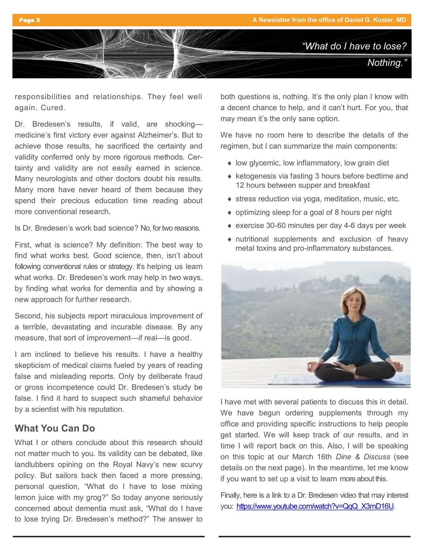

responsibilities and relationships. They feel well again. Cured.

Dr. Bredesen's results, if valid, are shocking medicine's first victory ever against Alzheimer's. But to achieve those results, he sacrificed the certainty and validity conferred only by more rigorous methods. Certainty and validity are not easily earned in science. Many neurologists and other doctors doubt his results. Many more have never heard of them because they spend their precious education time reading about more conventional research.

Is Dr. Bredesen's work bad science? No, for two reasons.

First, what is science? My definition: The best way to find what works best. Good science, then, isn't about following conventional rules or strategy. It's helping us learn what works. Dr. Bredesen's work may help in two ways, by finding what works for dementia and by showing a new approach for further research.

Second, his subjects report miraculous improvement of a terrible, devastating and incurable disease. By any measure, that sort of improvement—if real—is good.

I am inclined to believe his results. I have a healthy skepticism of medical claims fueled by years of reading false and misleading reports. Only by deliberate fraud or gross incompetence could Dr. Bredesen's study be false. I find it hard to suspect such shameful behavior by a scientist with his reputation.

## **What You Can Do**

What I or others conclude about this research should not matter much to you. Its validity can be debated, like landlubbers opining on the Royal Navy's new scurvy policy. But sailors back then faced a more pressing, personal question, "What do I have to lose mixing lemon juice with my grog?" So today anyone seriously concerned about dementia must ask, "What do I have to lose trying Dr. Bredesen's method?" The answer to both questions is, nothing. It's the only plan I know with a decent chance to help, and it can't hurt. For you, that may mean it's the only sane option.

We have no room here to describe the details of the regimen, but I can summarize the main components:

- ◆ low glycemic, low inflammatory, low grain diet
- $\triangle$  ketogenesis via fasting 3 hours before bedtime and 12 hours between supper and breakfast
- ◆ stress reduction via yoga, meditation, music, etc.
- optimizing sleep for a goal of 8 hours per night
- ◆ exercise 30-60 minutes per day 4-6 days per week
- nutritional supplements and exclusion of heavy metal toxins and pro-inflammatory substances.



I have met with several patients to discuss this in detail. We have begun ordering supplements through my office and providing specific instructions to help people get started. We will keep track of our results, and in time I will report back on this. Also, I will be speaking on this topic at our March 16th *Dine & Discuss* (see details on the next page). In the meantime, let me know if you want to set up a visit to learn more about this.

Finally, here is a link to a Dr. Bredesen video that may interest you: [https://www.youtube.com/watch?v=QqQ\\_X3mD16U.](https://www.youtube.com/watch?v=QqQ_X3mD16U)